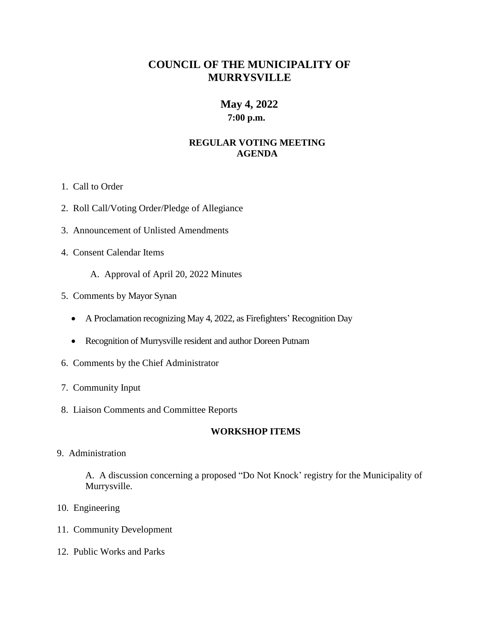# **COUNCIL OF THE MUNICIPALITY OF MURRYSVILLE**

# **May 4, 2022**

**7:00 p.m.**

## **REGULAR VOTING MEETING AGENDA**

- 1. Call to Order
- 2. Roll Call/Voting Order/Pledge of Allegiance
- 3. Announcement of Unlisted Amendments
- 4. Consent Calendar Items
	- A. Approval of April 20, 2022 Minutes
- 5. Comments by Mayor Synan
	- A Proclamation recognizing May 4, 2022, as Firefighters' Recognition Day
	- Recognition of Murrysville resident and author Doreen Putnam
- 6. Comments by the Chief Administrator
- 7. Community Input
- 8. Liaison Comments and Committee Reports

### **WORKSHOP ITEMS**

9. Administration

A. A discussion concerning a proposed "Do Not Knock' registry for the Municipality of Murrysville.

- 10. Engineering
- 11. Community Development
- 12. Public Works and Parks